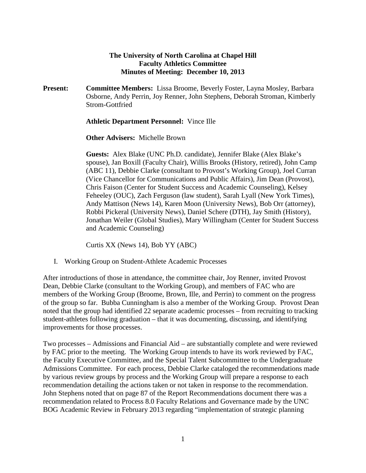## **The University of North Carolina at Chapel Hill Faculty Athletics Committee Minutes of Meeting: December 10, 2013**

**Present: Committee Members:** Lissa Broome, Beverly Foster, Layna Mosley, Barbara Osborne, Andy Perrin, Joy Renner, John Stephens, Deborah Stroman, Kimberly Strom-Gottfried

## **Athletic Department Personnel:** Vince Ille

**Other Advisers:** Michelle Brown

**Guests:** Alex Blake (UNC Ph.D. candidate), Jennifer Blake (Alex Blake's spouse), Jan Boxill (Faculty Chair), Willis Brooks (History, retired), John Camp (ABC 11), Debbie Clarke (consultant to Provost's Working Group), Joel Curran (Vice Chancellor for Communications and Public Affairs), Jim Dean (Provost), Chris Faison (Center for Student Success and Academic Counseling), Kelsey Feheeley (OUC), Zach Ferguson (law student), Sarah Lyall (New York Times), Andy Mattison (News 14), Karen Moon (University News), Bob Orr (attorney), Robbi Pickeral (University News), Daniel Schere (DTH), Jay Smith (History), Jonathan Weiler (Global Studies), Mary Willingham (Center for Student Success and Academic Counseling)

Curtis XX (News 14), Bob YY (ABC)

I. Working Group on Student-Athlete Academic Processes

After introductions of those in attendance, the committee chair, Joy Renner, invited Provost Dean, Debbie Clarke (consultant to the Working Group), and members of FAC who are members of the Working Group (Broome, Brown, Ille, and Perrin) to comment on the progress of the group so far. Bubba Cunningham is also a member of the Working Group. Provost Dean noted that the group had identified 22 separate academic processes – from recruiting to tracking student-athletes following graduation – that it was documenting, discussing, and identifying improvements for those processes.

Two processes – Admissions and Financial Aid – are substantially complete and were reviewed by FAC prior to the meeting. The Working Group intends to have its work reviewed by FAC, the Faculty Executive Committee, and the Special Talent Subcommittee to the Undergraduate Admissions Committee. For each process, Debbie Clarke cataloged the recommendations made by various review groups by process and the Working Group will prepare a response to each recommendation detailing the actions taken or not taken in response to the recommendation. John Stephens noted that on page 87 of the Report Recommendations document there was a recommendation related to Process 8.0 Faculty Relations and Governance made by the UNC BOG Academic Review in February 2013 regarding "implementation of strategic planning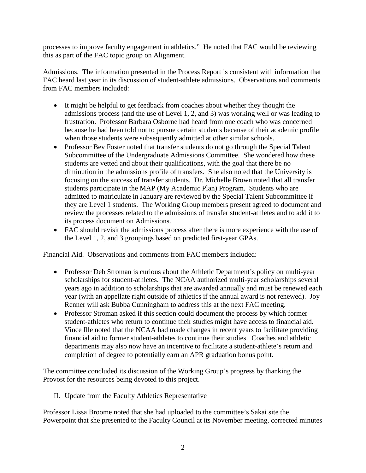processes to improve faculty engagement in athletics." He noted that FAC would be reviewing this as part of the FAC topic group on Alignment.

Admissions. The information presented in the Process Report is consistent with information that FAC heard last year in its discussion of student-athlete admissions. Observations and comments from FAC members included:

- It might be helpful to get feedback from coaches about whether they thought the admissions process (and the use of Level 1, 2, and 3) was working well or was leading to frustration. Professor Barbara Osborne had heard from one coach who was concerned because he had been told not to pursue certain students because of their academic profile when those students were subsequently admitted at other similar schools.
- Professor Bev Foster noted that transfer students do not go through the Special Talent Subcommittee of the Undergraduate Admissions Committee. She wondered how these students are vetted and about their qualifications, with the goal that there be no diminution in the admissions profile of transfers. She also noted that the University is focusing on the success of transfer students. Dr. Michelle Brown noted that all transfer students participate in the MAP (My Academic Plan) Program. Students who are admitted to matriculate in January are reviewed by the Special Talent Subcommittee if they are Level 1 students. The Working Group members present agreed to document and review the processes related to the admissions of transfer student-athletes and to add it to its process document on Admissions.
- FAC should revisit the admissions process after there is more experience with the use of the Level 1, 2, and 3 groupings based on predicted first-year GPAs.

Financial Aid. Observations and comments from FAC members included:

- Professor Deb Stroman is curious about the Athletic Department's policy on multi-year scholarships for student-athletes. The NCAA authorized multi-year scholarships several years ago in addition to scholarships that are awarded annually and must be renewed each year (with an appellate right outside of athletics if the annual award is not renewed). Joy Renner will ask Bubba Cunningham to address this at the next FAC meeting.
- Professor Stroman asked if this section could document the process by which former student-athletes who return to continue their studies might have access to financial aid. Vince Ille noted that the NCAA had made changes in recent years to facilitate providing financial aid to former student-athletes to continue their studies. Coaches and athletic departments may also now have an incentive to facilitate a student-athlete's return and completion of degree to potentially earn an APR graduation bonus point.

The committee concluded its discussion of the Working Group's progress by thanking the Provost for the resources being devoted to this project.

II. Update from the Faculty Athletics Representative

Professor Lissa Broome noted that she had uploaded to the committee's Sakai site the Powerpoint that she presented to the Faculty Council at its November meeting, corrected minutes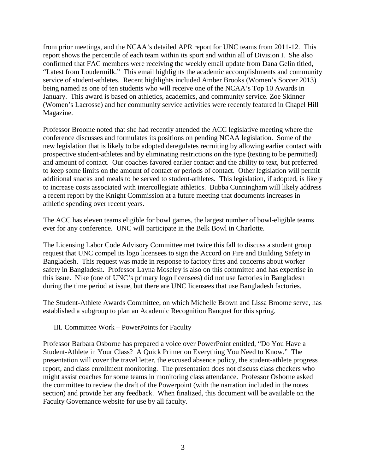from prior meetings, and the NCAA's detailed APR report for UNC teams from 2011-12. This report shows the percentile of each team within its sport and within all of Division I. She also confirmed that FAC members were receiving the weekly email update from Dana Gelin titled, "Latest from Loudermilk." This email highlights the academic accomplishments and community service of student-athletes. Recent highlights included Amber Brooks (Women's Soccer 2013) being named as one of ten students who will receive one of the NCAA's Top 10 Awards in January. This award is based on athletics, academics, and community service. Zoe Skinner (Women's Lacrosse) and her community service activities were recently featured in Chapel Hill Magazine.

Professor Broome noted that she had recently attended the ACC legislative meeting where the conference discusses and formulates its positions on pending NCAA legislation. Some of the new legislation that is likely to be adopted deregulates recruiting by allowing earlier contact with prospective student-athletes and by eliminating restrictions on the type (texting to be permitted) and amount of contact. Our coaches favored earlier contact and the ability to text, but preferred to keep some limits on the amount of contact or periods of contact. Other legislation will permit additional snacks and meals to be served to student-athletes. This legislation, if adopted, is likely to increase costs associated with intercollegiate athletics. Bubba Cunningham will likely address a recent report by the Knight Commission at a future meeting that documents increases in athletic spending over recent years.

The ACC has eleven teams eligible for bowl games, the largest number of bowl-eligible teams ever for any conference. UNC will participate in the Belk Bowl in Charlotte.

The Licensing Labor Code Advisory Committee met twice this fall to discuss a student group request that UNC compel its logo licensees to sign the Accord on Fire and Building Safety in Bangladesh. This request was made in response to factory fires and concerns about worker safety in Bangladesh. Professor Layna Moseley is also on this committee and has expertise in this issue. Nike (one of UNC's primary logo licensees) did not use factories in Bangladesh during the time period at issue, but there are UNC licensees that use Bangladesh factories.

The Student-Athlete Awards Committee, on which Michelle Brown and Lissa Broome serve, has established a subgroup to plan an Academic Recognition Banquet for this spring.

## III. Committee Work – PowerPoints for Faculty

Professor Barbara Osborne has prepared a voice over PowerPoint entitled, "Do You Have a Student-Athlete in Your Class? A Quick Primer on Everything You Need to Know." The presentation will cover the travel letter, the excused absence policy, the student-athlete progress report, and class enrollment monitoring. The presentation does not discuss class checkers who might assist coaches for some teams in monitoring class attendance. Professor Osborne asked the committee to review the draft of the Powerpoint (with the narration included in the notes section) and provide her any feedback. When finalized, this document will be available on the Faculty Governance website for use by all faculty.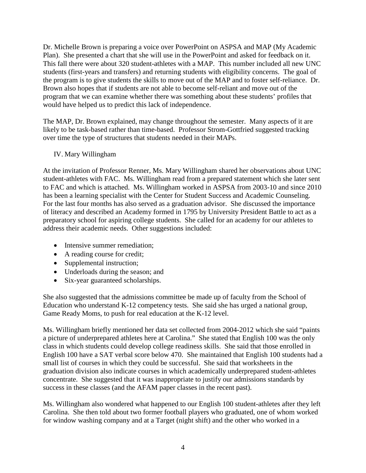Dr. Michelle Brown is preparing a voice over PowerPoint on ASPSA and MAP (My Academic Plan). She presented a chart that she will use in the PowerPoint and asked for feedback on it. This fall there were about 320 student-athletes with a MAP. This number included all new UNC students (first-years and transfers) and returning students with eligibility concerns. The goal of the program is to give students the skills to move out of the MAP and to foster self-reliance. Dr. Brown also hopes that if students are not able to become self-reliant and move out of the program that we can examine whether there was something about these students' profiles that would have helped us to predict this lack of independence.

The MAP, Dr. Brown explained, may change throughout the semester. Many aspects of it are likely to be task-based rather than time-based. Professor Strom-Gottfried suggested tracking over time the type of structures that students needed in their MAPs.

## IV. Mary Willingham

At the invitation of Professor Renner, Ms. Mary Willingham shared her observations about UNC student-athletes with FAC. Ms. Willingham read from a prepared statement which she later sent to FAC and which is attached. Ms. Willingham worked in ASPSA from 2003-10 and since 2010 has been a learning specialist with the Center for Student Success and Academic Counseling. For the last four months has also served as a graduation advisor. She discussed the importance of literacy and described an Academy formed in 1795 by University President Battle to act as a preparatory school for aspiring college students. She called for an academy for our athletes to address their academic needs. Other suggestions included:

- Intensive summer remediation;
- A reading course for credit;
- Supplemental instruction;
- Underloads during the season; and
- Six-year guaranteed scholarships.

She also suggested that the admissions committee be made up of faculty from the School of Education who understand K-12 competency tests. She said she has urged a national group, Game Ready Moms, to push for real education at the K-12 level.

Ms. Willingham briefly mentioned her data set collected from 2004-2012 which she said "paints a picture of underprepared athletes here at Carolina." She stated that English 100 was the only class in which students could develop college readiness skills. She said that those enrolled in English 100 have a SAT verbal score below 470. She maintained that English 100 students had a small list of courses in which they could be successful. She said that worksheets in the graduation division also indicate courses in which academically underprepared student-athletes concentrate. She suggested that it was inappropriate to justify our admissions standards by success in these classes (and the AFAM paper classes in the recent past).

Ms. Willingham also wondered what happened to our English 100 student-athletes after they left Carolina. She then told about two former football players who graduated, one of whom worked for window washing company and at a Target (night shift) and the other who worked in a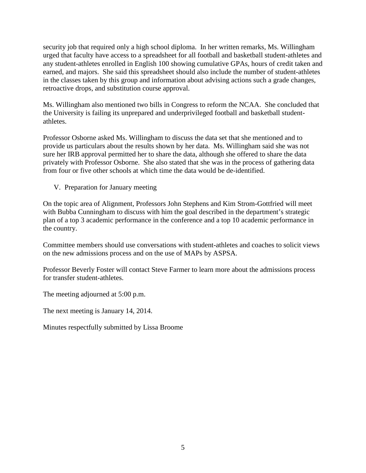security job that required only a high school diploma. In her written remarks, Ms. Willingham urged that faculty have access to a spreadsheet for all football and basketball student-athletes and any student-athletes enrolled in English 100 showing cumulative GPAs, hours of credit taken and earned, and majors. She said this spreadsheet should also include the number of student-athletes in the classes taken by this group and information about advising actions such a grade changes, retroactive drops, and substitution course approval.

Ms. Willingham also mentioned two bills in Congress to reform the NCAA. She concluded that the University is failing its unprepared and underprivileged football and basketball studentathletes.

Professor Osborne asked Ms. Willingham to discuss the data set that she mentioned and to provide us particulars about the results shown by her data. Ms. Willingham said she was not sure her IRB approval permitted her to share the data, although she offered to share the data privately with Professor Osborne. She also stated that she was in the process of gathering data from four or five other schools at which time the data would be de-identified.

V. Preparation for January meeting

On the topic area of Alignment, Professors John Stephens and Kim Strom-Gottfried will meet with Bubba Cunningham to discuss with him the goal described in the department's strategic plan of a top 3 academic performance in the conference and a top 10 academic performance in the country.

Committee members should use conversations with student-athletes and coaches to solicit views on the new admissions process and on the use of MAPs by ASPSA.

Professor Beverly Foster will contact Steve Farmer to learn more about the admissions process for transfer student-athletes.

The meeting adjourned at 5:00 p.m.

The next meeting is January 14, 2014.

Minutes respectfully submitted by Lissa Broome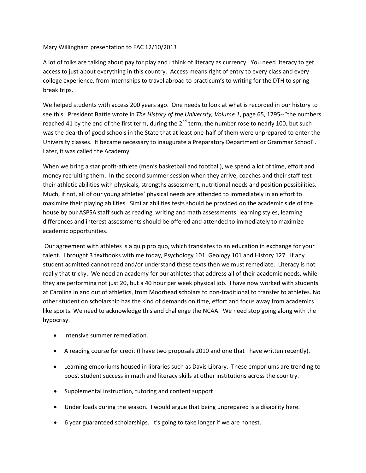Mary Willingham presentation to FAC 12/10/2013

A lot of folks are talking about pay for play and I think of literacy as currency. You need literacy to get access to just about everything in this country. Access means right of entry to every class and every college experience, from internships to travel abroad to practicum's to writing for the DTH to spring break trips.

We helped students with access 200 years ago. One needs to look at what is recorded in our history to see this. President Battle wrote in *The History of the University, Volume 1*, page 65, 1795--"the numbers reached 41 by the end of the first term, during the  $2^{nd}$  term, the number rose to nearly 100, but such was the dearth of good schools in the State that at least one-half of them were unprepared to enter the University classes. It became necessary to inaugurate a Preparatory Department or Grammar School". Later, it was called the Academy.

When we bring a star profit-athlete (men's basketball and football), we spend a lot of time, effort and money recruiting them. In the second summer session when they arrive, coaches and their staff test their athletic abilities with physicals, strengths assessment, nutritional needs and position possibilities. Much, if not, all of our young athletes' physical needs are attended to immediately in an effort to maximize their playing abilities. Similar abilities tests should be provided on the academic side of the house by our ASPSA staff such as reading, writing and math assessments, learning styles, learning differences and interest assessments should be offered and attended to immediately to maximize academic opportunities.

Our agreement with athletes is a quip pro quo, which translates to an education in exchange for your talent. I brought 3 textbooks with me today, Psychology 101, Geology 101 and History 127. If any student admitted cannot read and/or understand these texts then we must remediate. Literacy is not really that tricky. We need an academy for our athletes that address all of their academic needs, while they are performing not just 20, but a 40 hour per week physical job. I have now worked with students at Carolina in and out of athletics, from Moorhead scholars to non-traditional to transfer to athletes. No other student on scholarship has the kind of demands on time, effort and focus away from academics like sports. We need to acknowledge this and challenge the NCAA. We need stop going along with the hypocrisy.

- Intensive summer remediation.
- A reading course for credit (I have two proposals 2010 and one that I have written recently).
- Learning emporiums housed in libraries such as Davis Library. These emporiums are trending to boost student success in math and literacy skills at other institutions across the country.
- Supplemental instruction, tutoring and content support
- Under loads during the season. I would argue that being unprepared is a disability here.
- 6 year guaranteed scholarships. It's going to take longer if we are honest.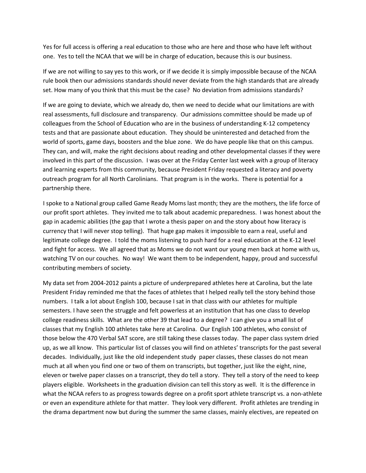Yes for full access is offering a real education to those who are here and those who have left without one. Yes to tell the NCAA that we will be in charge of education, because this is our business.

If we are not willing to say yes to this work, or if we decide it is simply impossible because of the NCAA rule book then our admissions standards should never deviate from the high standards that are already set. How many of you think that this must be the case? No deviation from admissions standards?

If we are going to deviate, which we already do, then we need to decide what our limitations are with real assessments, full disclosure and transparency. Our admissions committee should be made up of colleagues from the School of Education who are in the business of understanding K-12 competency tests and that are passionate about education. They should be uninterested and detached from the world of sports, game days, boosters and the blue zone. We do have people like that on this campus. They can, and will, make the right decisions about reading and other developmental classes if they were involved in this part of the discussion. I was over at the Friday Center last week with a group of literacy and learning experts from this community, because President Friday requested a literacy and poverty outreach program for all North Carolinians. That program is in the works. There is potential for a partnership there.

I spoke to a National group called Game Ready Moms last month; they are the mothers, the life force of our profit sport athletes. They invited me to talk about academic preparedness. I was honest about the gap in academic abilities (the gap that I wrote a thesis paper on and the story about how literacy is currency that I will never stop telling). That huge gap makes it impossible to earn a real, useful and legitimate college degree. I told the moms listening to push hard for a real education at the K-12 level and fight for access. We all agreed that as Moms we do not want our young men back at home with us, watching TV on our couches. No way! We want them to be independent, happy, proud and successful contributing members of society.

My data set from 2004-2012 paints a picture of underprepared athletes here at Carolina, but the late President Friday reminded me that the faces of athletes that I helped really tell the story behind those numbers. I talk a lot about English 100, because I sat in that class with our athletes for multiple semesters. I have seen the struggle and felt powerless at an institution that has one class to develop college readiness skills. What are the other 39 that lead to a degree? I can give you a small list of classes that my English 100 athletes take here at Carolina. Our English 100 athletes, who consist of those below the 470 Verbal SAT score, are still taking these classes today. The paper class system dried up, as we all know. This particular list of classes you will find on athletes' transcripts for the past several decades. Individually, just like the old independent study paper classes, these classes do not mean much at all when you find one or two of them on transcripts, but together, just like the eight, nine, eleven or twelve paper classes on a transcript, they do tell a story. They tell a story of the need to keep players eligible. Worksheets in the graduation division can tell this story as well. It is the difference in what the NCAA refers to as progress towards degree on a profit sport athlete transcript vs. a non-athlete or even an expenditure athlete for that matter. They look very different. Profit athletes are trending in the drama department now but during the summer the same classes, mainly electives, are repeated on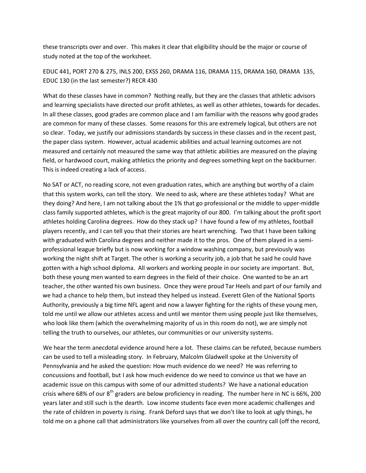these transcripts over and over. This makes it clear that eligibility should be the major or course of study noted at the top of the worksheet.

EDUC 441, PORT 270 & 275, INLS 200, EXSS 260, DRAMA 116, DRAMA 115, DRAMA 160, DRAMA 135, EDUC 130 (in the last semester?) RECR 430

What do these classes have in common? Nothing really, but they are the classes that athletic advisors and learning specialists have directed our profit athletes, as well as other athletes, towards for decades. In all these classes, good grades are common place and I am familiar with the reasons why good grades are common for many of these classes. Some reasons for this are extremely logical, but others are not so clear. Today, we justify our admissions standards by success in these classes and in the recent past, the paper class system. However, actual academic abilities and actual learning outcomes are not measured and certainly not measured the same way that athletic abilities are measured on the playing field, or hardwood court, making athletics the priority and degrees something kept on the backburner. This is indeed creating a lack of access.

No SAT or ACT, no reading score, not even graduation rates, which are anything but worthy of a claim that this system works, can tell the story. We need to ask, where are these athletes today? What are they doing? And here, I am not talking about the 1% that go professional or the middle to upper-middle class family supported athletes, which is the great majority of our 800. I'm talking about the profit sport athletes holding Carolina degrees. How do they stack up? I have found a few of my athletes, football players recently, and I can tell you that their stories are heart wrenching. Two that I have been talking with graduated with Carolina degrees and neither made it to the pros. One of them played in a semiprofessional league briefly but is now working for a window washing company, but previously was working the night shift at Target. The other is working a security job, a job that he said he could have gotten with a high school diploma. All workers and working people in our society are important. But, both these young men wanted to earn degrees in the field of their choice. One wanted to be an art teacher, the other wanted his own business. Once they were proud Tar Heels and part of our family and we had a chance to help them, but instead they helped us instead. Everett Glen of the National Sports Authority, previously a big time NFL agent and now a lawyer fighting for the rights of these young men, told me until we allow our athletes access and until we mentor them using people just like themselves, who look like them (which the overwhelming majority of us in this room do not), we are simply not telling the truth to ourselves, our athletes, our communities or our university systems.

We hear the term anecdotal evidence around here a lot. These claims can be refuted, because numbers can be used to tell a misleading story. In February, Malcolm Gladwell spoke at the University of Pennsylvania and he asked the question: How much evidence do we need? He was referring to concussions and football, but I ask how much evidence do we need to convince us that we have an academic issue on this campus with some of our admitted students? We have a national education crisis where 68% of our 8<sup>th</sup> graders are below proficiency in reading. The number here in NC is 66%, 200 years later and still such is the dearth. Low income students face even more academic challenges and the rate of children in poverty is rising. Frank Deford says that we don't like to look at ugly things, he told me on a phone call that administrators like yourselves from all over the country call (off the record,